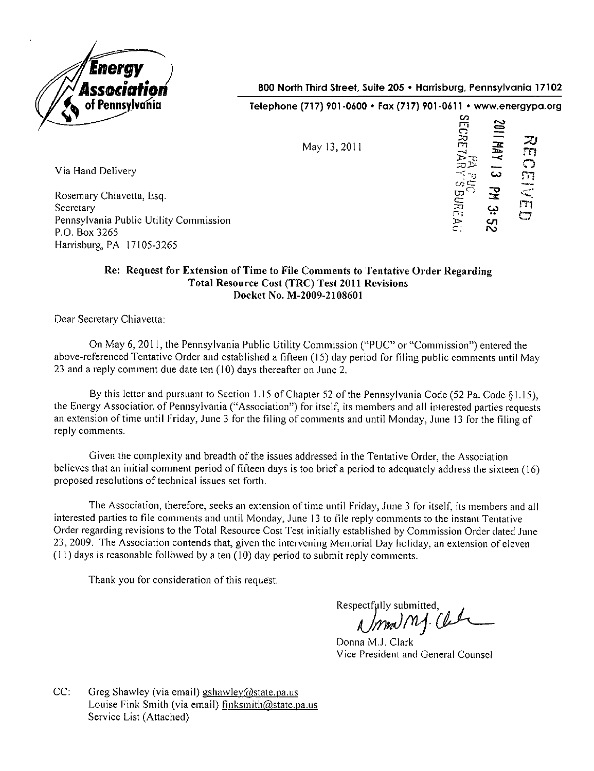

Via Hand Delivery

Secretary

P.O. Box 3265

Rosemary Chiavetta, Esq.

Harrisburg, PA 17105-3265

Pennsylvania Public Utility Commission

800 North Third Street, Suite 205 • Harrisburg, Pennsylvania 17102

Telephone (717) 901 -0600 • Fax (717) 901 -0611 • www.energypa.org

| May 13, 2011 | SECRE<br>1102<br>20<br><b>ИИУ</b><br>$\Box$<br><b>NAR</b><br>NAR<br>دے<br>51<br>$\Gamma$<br>UABUREAU<br>궃<br>m<br>3:52<br>$\subset$ |
|--------------|-------------------------------------------------------------------------------------------------------------------------------------|
|--------------|-------------------------------------------------------------------------------------------------------------------------------------|

## **Re: Request for Extension of Time to File Comments to Tentative Order Regarding Total Resource Cost (TRC) Test 2011 Revisions Docket No. M-2009-2108601**

Dear Secretary Chiavetta:

On May 6, 2011, the Pennsylvania Public Utility Commission ("PUC" or "Commission") entered the above-referenced Tentative Order and established a fifteen (15) day period for filing public comments until May 23 and a reply comment due date ten (10) days thereafter on June 2.

By this letter and pursuant to Section 1.15 of Chapter 52 of the Pennsylvania Code (52 Pa. Code §1.15). the Energy Association of Pennsylvania ("Association") for itself, its members and all interested parties requests an extension of time until Friday, June 3 for the filing of comments and until Monday, June 13 for the filing of reply comments.

Given the complexity and breadth of the issues addressed in the Tentative Order, the Association believes that an initial comment period of fifteen days is too brief a period to adequately address the sixteen (16) proposed resolutions of technical issues set forth.

The Association, therefore, seeks an extension of time until Friday, June 3 for itself, its members and all interested parties to file comments and until Monday, June 13 to file reply comments to the instant Teniative Order regarding revisions to the Total Resource Cost Test initially established by Commission Order dated June 23, 2009. The Association contends that, given the intervening Memorial Day holiday, an extension of eleven  $(11)$  days is reasonable followed by a ten  $(10)$  day period to submit reply comments.

Thank you for consideration of this request.

Respectfully submitted,<br> *Ammed MA.* Cle

Donna M.J. Clark Vice President and General Counsel

 $CC:$  Greg Shawley (via email) gshawley@state.pa.us Louise Fink Smith (via email) finksmith@state.pa.us Service List (Attached)